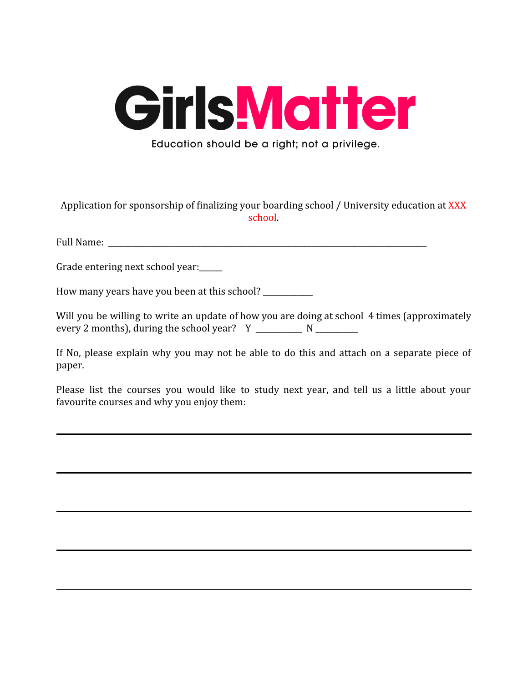

Application for sponsorship of finalizing your boarding school / University education at XXX school.

Full Name:

Grade entering next school year:

How many years have you been at this school? \_\_\_\_\_\_\_\_\_\_\_\_\_

Will you be willing to write an update of how you are doing at school 4 times (approximately every 2 months), during the school year? Y \_\_\_\_\_\_\_\_\_\_\_\_ N \_\_\_\_\_\_\_\_\_\_\_

If No, please explain why you may not be able to do this and attach on a separate piece of paper.

Please list the courses you would like to study next year, and tell us a little about your favourite courses and why you enjoy them: